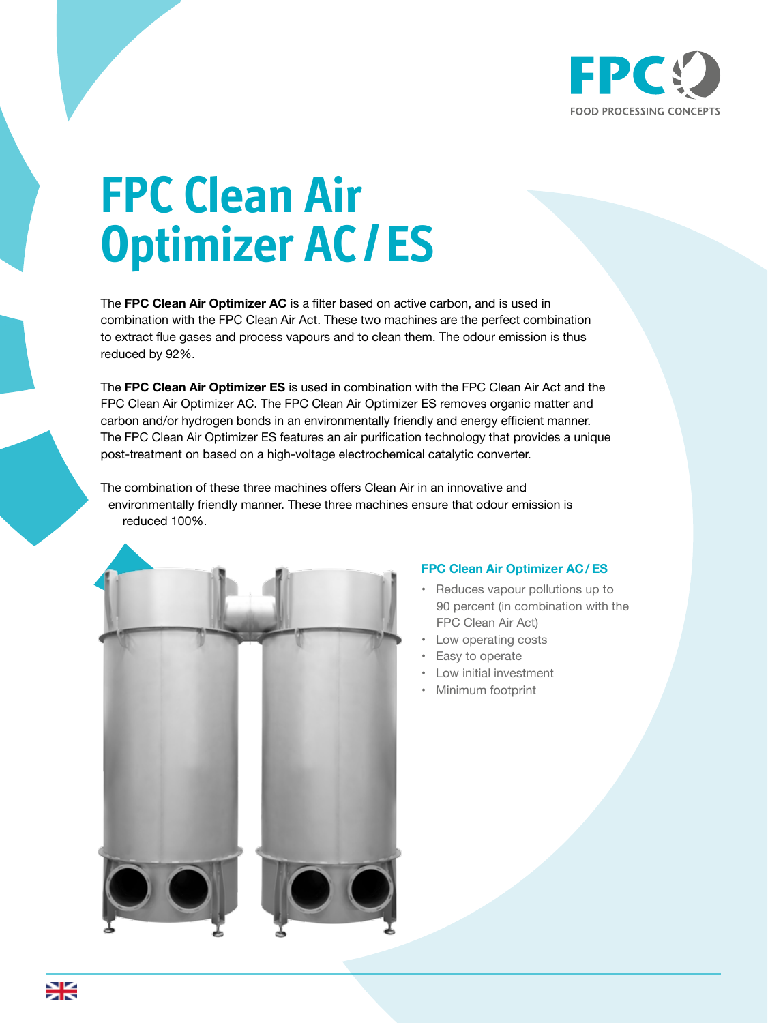

## **FPC Clean Air Optimizer AC / ES**

The **FPC Clean Air Optimizer AC** is a filter based on active carbon, and is used in combination with the FPC Clean Air Act. These two machines are the perfect combination to extract flue gases and process vapours and to clean them. The odour emission is thus reduced by 92%.

The **FPC Clean Air Optimizer ES** is used in combination with the FPC Clean Air Act and the FPC Clean Air Optimizer AC. The FPC Clean Air Optimizer ES removes organic matter and carbon and/or hydrogen bonds in an environmentally friendly and energy efficient manner. The FPC Clean Air Optimizer ES features an air purification technology that provides a unique post-treatment on based on a high-voltage electrochemical catalytic converter.

The combination of these three machines offers Clean Air in an innovative and environmentally friendly manner. These three machines ensure that odour emission is reduced 100%.



## **FPC Clean Air Optimizer AC / ES**

- Reduces vapour pollutions up to 90 percent (in combination with the FPC Clean Air Act)
- Low operating costs
- Easy to operate
- Low initial investment
- Minimum footprint